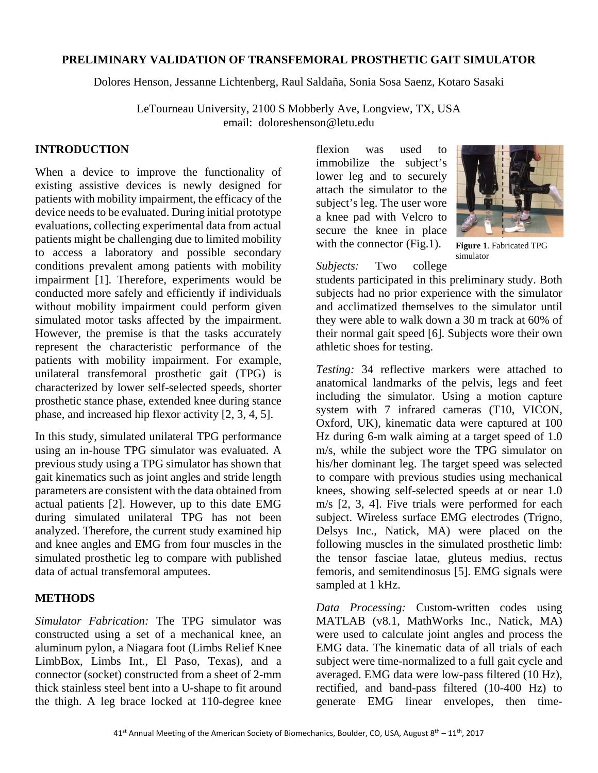## **PRELIMINARY VALIDATION OF TRANSFEMORAL PROSTHETIC GAIT SIMULATOR**

Dolores Henson, Jessanne Lichtenberg, Raul Saldaña, Sonia Sosa Saenz, Kotaro Sasaki

LeTourneau University, 2100 S Mobberly Ave, Longview, TX, USA email: doloreshenson@letu.edu

## **INTRODUCTION**

When a device to improve the functionality of existing assistive devices is newly designed for patients with mobility impairment, the efficacy of the device needs to be evaluated. During initial prototype evaluations, collecting experimental data from actual patients might be challenging due to limited mobility to access a laboratory and possible secondary conditions prevalent among patients with mobility impairment [1]. Therefore, experiments would be conducted more safely and efficiently if individuals without mobility impairment could perform given simulated motor tasks affected by the impairment. However, the premise is that the tasks accurately represent the characteristic performance of the patients with mobility impairment. For example, unilateral transfemoral prosthetic gait (TPG) is characterized by lower self-selected speeds, shorter prosthetic stance phase, extended knee during stance phase, and increased hip flexor activity [2, 3, 4, 5].

In this study, simulated unilateral TPG performance using an in-house TPG simulator was evaluated. A previous study using a TPG simulator has shown that gait kinematics such as joint angles and stride length parameters are consistent with the data obtained from actual patients [2]. However, up to this date EMG during simulated unilateral TPG has not been analyzed. Therefore, the current study examined hip and knee angles and EMG from four muscles in the simulated prosthetic leg to compare with published data of actual transfemoral amputees.

# **METHODS**

*Simulator Fabrication:* The TPG simulator was constructed using a set of a mechanical knee, an aluminum pylon, a Niagara foot (Limbs Relief Knee LimbBox, Limbs Int., El Paso, Texas), and a connector (socket) constructed from a sheet of 2-mm thick stainless steel bent into a U-shape to fit around the thigh. A leg brace locked at 110-degree knee

flexion was used to immobilize the subject's lower leg and to securely attach the simulator to the subject's leg. The user wore a knee pad with Velcro to secure the knee in place with the connector (Fig.1).



**Figure 1**. Fabricated TPG simulator

*Subjects:* Two college

students participated in this preliminary study. Both subjects had no prior experience with the simulator and acclimatized themselves to the simulator until they were able to walk down a 30 m track at 60% of their normal gait speed [6]. Subjects wore their own athletic shoes for testing.

*Testing:* 34 reflective markers were attached to anatomical landmarks of the pelvis, legs and feet including the simulator. Using a motion capture system with 7 infrared cameras (T10, VICON, Oxford, UK), kinematic data were captured at 100 Hz during 6-m walk aiming at a target speed of 1.0 m/s, while the subject wore the TPG simulator on his/her dominant leg. The target speed was selected to compare with previous studies using mechanical knees, showing self-selected speeds at or near 1.0 m/s [2, 3, 4]. Five trials were performed for each subject. Wireless surface EMG electrodes (Trigno, Delsys Inc., Natick, MA) were placed on the following muscles in the simulated prosthetic limb: the tensor fasciae latae, gluteus medius, rectus femoris, and semitendinosus [5]. EMG signals were sampled at 1 kHz.

*Data Processing:* Custom-written codes using MATLAB (v8.1, MathWorks Inc., Natick, MA) were used to calculate joint angles and process the EMG data. The kinematic data of all trials of each subject were time-normalized to a full gait cycle and averaged. EMG data were low-pass filtered (10 Hz), rectified, and band-pass filtered (10-400 Hz) to generate EMG linear envelopes, then time